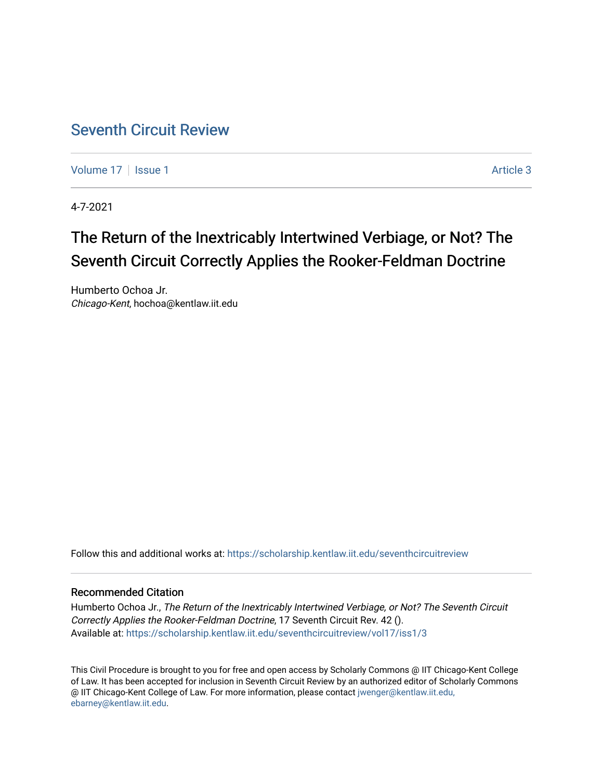## [Seventh Circuit Review](https://scholarship.kentlaw.iit.edu/seventhcircuitreview)

[Volume 17](https://scholarship.kentlaw.iit.edu/seventhcircuitreview/vol17) | [Issue 1](https://scholarship.kentlaw.iit.edu/seventhcircuitreview/vol17/iss1) Article 3

4-7-2021

# The Return of the Inextricably Intertwined Verbiage, or Not? The Seventh Circuit Correctly Applies the Rooker-Feldman Doctrine

Humberto Ochoa Jr. Chicago-Kent, hochoa@kentlaw.iit.edu

Follow this and additional works at: [https://scholarship.kentlaw.iit.edu/seventhcircuitreview](https://scholarship.kentlaw.iit.edu/seventhcircuitreview?utm_source=scholarship.kentlaw.iit.edu%2Fseventhcircuitreview%2Fvol17%2Fiss1%2F3&utm_medium=PDF&utm_campaign=PDFCoverPages) 

#### Recommended Citation

Humberto Ochoa Jr., The Return of the Inextricably Intertwined Verbiage, or Not? The Seventh Circuit Correctly Applies the Rooker-Feldman Doctrine, 17 Seventh Circuit Rev. 42 (). Available at: [https://scholarship.kentlaw.iit.edu/seventhcircuitreview/vol17/iss1/3](https://scholarship.kentlaw.iit.edu/seventhcircuitreview/vol17/iss1/3?utm_source=scholarship.kentlaw.iit.edu%2Fseventhcircuitreview%2Fvol17%2Fiss1%2F3&utm_medium=PDF&utm_campaign=PDFCoverPages) 

This Civil Procedure is brought to you for free and open access by Scholarly Commons @ IIT Chicago-Kent College of Law. It has been accepted for inclusion in Seventh Circuit Review by an authorized editor of Scholarly Commons @ IIT Chicago-Kent College of Law. For more information, please contact [jwenger@kentlaw.iit.edu,](mailto:jwenger@kentlaw.iit.edu,%20ebarney@kentlaw.iit.edu)  [ebarney@kentlaw.iit.edu](mailto:jwenger@kentlaw.iit.edu,%20ebarney@kentlaw.iit.edu).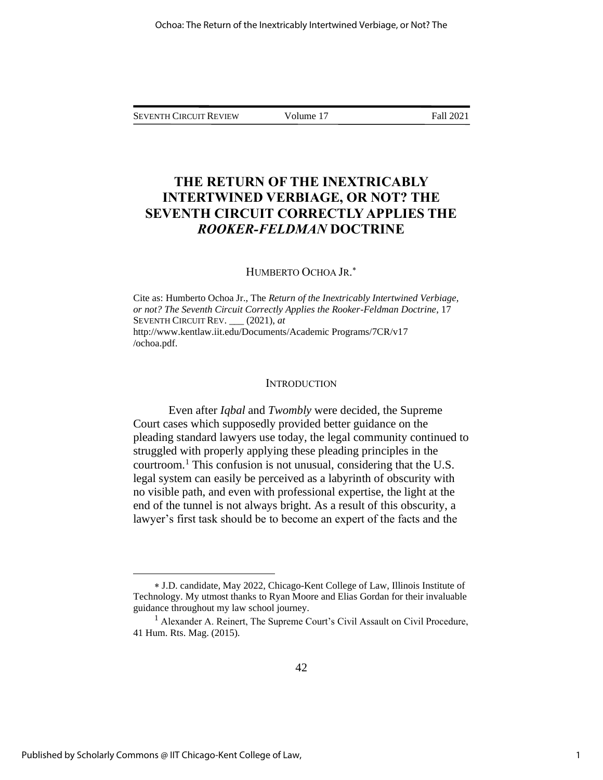SEVENTH CIRCUIT REVIEW Volume 17 Fall 2021

### **THE RETURN OF THE INEXTRICABLY INTERTWINED VERBIAGE, OR NOT? THE SEVENTH CIRCUIT CORRECTLY APPLIES THE**  *ROOKER-FELDMAN* **DOCTRINE**

#### HUMBERTO OCHOA JR.

Cite as: Humberto Ochoa Jr., The *Return of the Inextricably Intertwined Verbiage, or not? The Seventh Circuit Correctly Applies the Rooker-Feldman Doctrine*, 17 SEVENTH CIRCUIT REV. \_\_\_ (2021), *at* http://www.kentlaw.iit.edu/Documents/Academic Programs/7CR/v17 /ochoa.pdf.

#### **INTRODUCTION**

Even after *Iqbal* and *Twombly* were decided, the Supreme Court cases which supposedly provided better guidance on the pleading standard lawyers use today, the legal community continued to struggled with properly applying these pleading principles in the courtroom.<sup>1</sup> This confusion is not unusual, considering that the U.S. legal system can easily be perceived as a labyrinth of obscurity with no visible path, and even with professional expertise, the light at the end of the tunnel is not always bright. As a result of this obscurity, a lawyer's first task should be to become an expert of the facts and the

J.D. candidate, May 2022, Chicago-Kent College of Law, Illinois Institute of Technology. My utmost thanks to Ryan Moore and Elias Gordan for their invaluable guidance throughout my law school journey.

<sup>&</sup>lt;sup>1</sup> Alexander A. Reinert, The Supreme Court's Civil Assault on Civil Procedure, 41 Hum. Rts. Mag. (2015).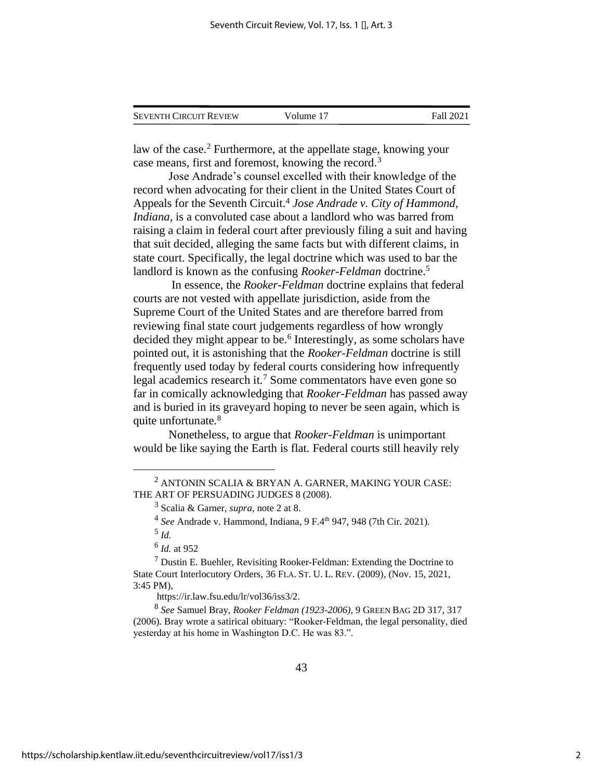| <b>SEVENTH CIRCUIT REVIEW</b> | Volume 17 | Fall 2021 |
|-------------------------------|-----------|-----------|
|                               |           |           |

law of the case.<sup>2</sup> Furthermore, at the appellate stage, knowing your case means, first and foremost, knowing the record.<sup>3</sup>

Jose Andrade's counsel excelled with their knowledge of the record when advocating for their client in the United States Court of Appeals for the Seventh Circuit. 4 *Jose Andrade v. City of Hammond, Indiana*, is a convoluted case about a landlord who was barred from raising a claim in federal court after previously filing a suit and having that suit decided, alleging the same facts but with different claims, in state court. Specifically, the legal doctrine which was used to bar the landlord is known as the confusing *Rooker-Feldman* doctrine.<sup>5</sup>

In essence, the *Rooker-Feldman* doctrine explains that federal courts are not vested with appellate jurisdiction, aside from the Supreme Court of the United States and are therefore barred from reviewing final state court judgements regardless of how wrongly decided they might appear to be.<sup>6</sup> Interestingly, as some scholars have pointed out, it is astonishing that the *Rooker-Feldman* doctrine is still frequently used today by federal courts considering how infrequently legal academics research it.<sup>7</sup> Some commentators have even gone so far in comically acknowledging that *Rooker-Feldman* has passed away and is buried in its graveyard hoping to never be seen again, which is quite unfortunate.<sup>8</sup>

Nonetheless, to argue that *Rooker-Feldman* is unimportant would be like saying the Earth is flat. Federal courts still heavily rely

<sup>4</sup> See Andrade v. Hammond, Indiana, 9 F.4<sup>th</sup> 947, 948 (7th Cir. 2021).

5 *Id.*

6 *Id.* at 952

 $2$  ANTONIN SCALIA & BRYAN A. GARNER, MAKING YOUR CASE: THE ART OF PERSUADING JUDGES 8 (2008).

<sup>3</sup> Scalia & Garner, *supra*, note 2 at 8.

 $<sup>7</sup>$  Dustin E. Buehler, Revisiting Rooker-Feldman: Extending the Doctrine to</sup> State Court Interlocutory Orders, 36 FLA.ST. U. L. REV. (2009), (Nov. 15, 2021, 3:45 PM),

https://ir.law.fsu.edu/lr/vol36/iss3/2.

<sup>8</sup> *See* Samuel Bray, *Rooker Feldman (1923-2006)*, 9 GREEN BAG 2D 317, 317 (2006). Bray wrote a satirical obituary: "Rooker-Feldman, the legal personality, died yesterday at his home in Washington D.C. He was 83.".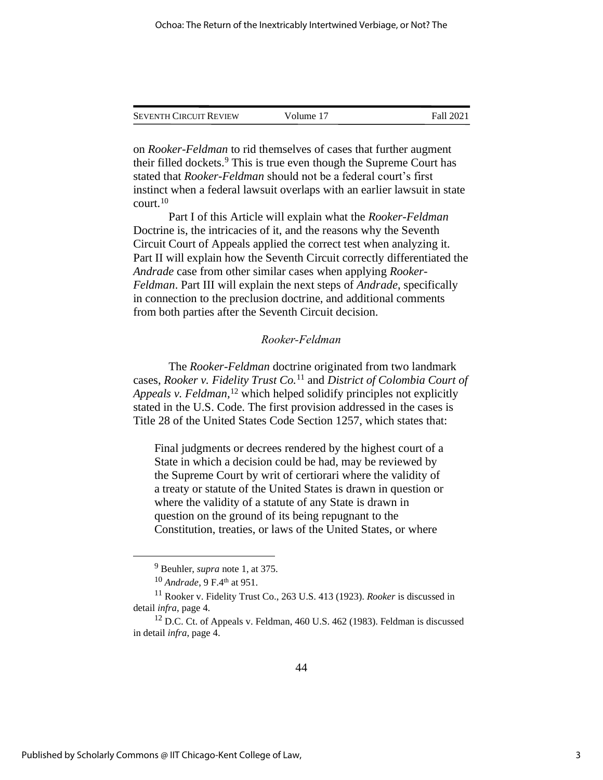| <b>SEVENTH CIRCUIT REVIEW</b> | Volume 17 | Fall 2021 |
|-------------------------------|-----------|-----------|
|                               |           |           |

on *Rooker-Feldman* to rid themselves of cases that further augment their filled dockets.<sup>9</sup> This is true even though the Supreme Court has stated that *Rooker-Feldman* should not be a federal court's first instinct when a federal lawsuit overlaps with an earlier lawsuit in state court.<sup>10</sup>

Part I of this Article will explain what the *Rooker-Feldman* Doctrine is, the intricacies of it, and the reasons why the Seventh Circuit Court of Appeals applied the correct test when analyzing it. Part II will explain how the Seventh Circuit correctly differentiated the *Andrade* case from other similar cases when applying *Rooker-Feldman*. Part III will explain the next steps of *Andrade*, specifically in connection to the preclusion doctrine, and additional comments from both parties after the Seventh Circuit decision.

#### *Rooker-Feldman*

The *Rooker-Feldman* doctrine originated from two landmark cases, *Rooker v. Fidelity Trust Co.*<sup>11</sup> and *District of Colombia Court of Appeals v. Feldman,*<sup>12</sup> which helped solidify principles not explicitly stated in the U.S. Code. The first provision addressed in the cases is Title 28 of the United States Code Section 1257, which states that:

Final judgments or decrees rendered by the highest court of a State in which a decision could be had, may be reviewed by the Supreme Court by writ of certiorari where the validity of a treaty or statute of the United States is drawn in question or where the validity of a statute of any State is drawn in question on the ground of its being repugnant to the Constitution, treaties, or laws of the United States, or where

<sup>9</sup> Beuhler, *supra* note 1, at 375.

<sup>10</sup> *Andrade*, 9 F.4th at 951.

<sup>11</sup> Rooker v. Fidelity Trust Co., 263 U.S. 413 (1923). *Rooker* is discussed in detail *infra*, page 4.

<sup>&</sup>lt;sup>12</sup> D.C. Ct. of Appeals v. Feldman, 460 U.S. 462 (1983). Feldman is discussed in detail *infra*, page 4.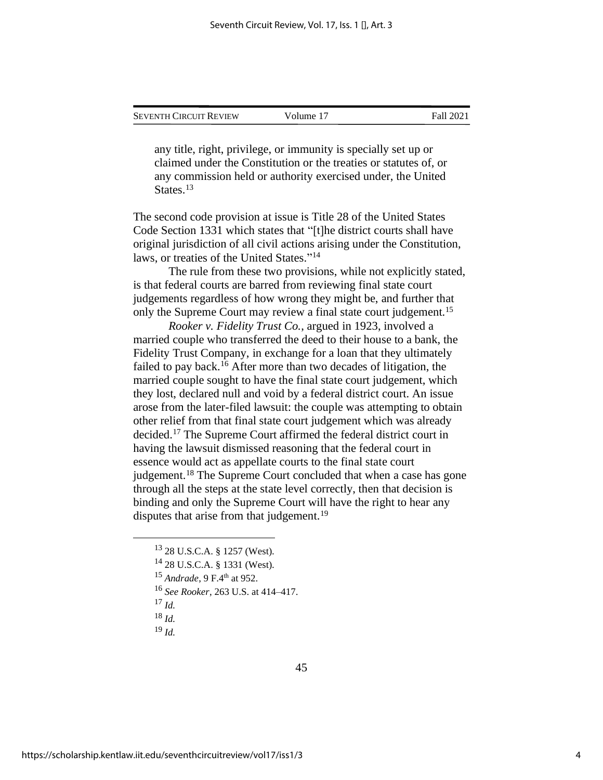| Seventh Circuit Review | Volume 17 | Fall 2021 |
|------------------------|-----------|-----------|
|                        |           |           |

any title, right, privilege, or immunity is specially set up or claimed under the Constitution or the treaties or statutes of, or any commission held or authority exercised under, the United States.<sup>13</sup>

The second code provision at issue is Title 28 of the United States Code Section 1331 which states that "[t]he district courts shall have original jurisdiction of all civil actions arising under the Constitution, laws, or treaties of the United States."<sup>14</sup>

The rule from these two provisions, while not explicitly stated, is that federal courts are barred from reviewing final state court judgements regardless of how wrong they might be, and further that only the Supreme Court may review a final state court judgement.<sup>15</sup>

*Rooker v. Fidelity Trust Co.*, argued in 1923, involved a married couple who transferred the deed to their house to a bank, the Fidelity Trust Company, in exchange for a loan that they ultimately failed to pay back.<sup>16</sup> After more than two decades of litigation, the married couple sought to have the final state court judgement, which they lost, declared null and void by a federal district court. An issue arose from the later-filed lawsuit: the couple was attempting to obtain other relief from that final state court judgement which was already decided.<sup>17</sup> The Supreme Court affirmed the federal district court in having the lawsuit dismissed reasoning that the federal court in essence would act as appellate courts to the final state court judgement.<sup>18</sup> The Supreme Court concluded that when a case has gone through all the steps at the state level correctly, then that decision is binding and only the Supreme Court will have the right to hear any disputes that arise from that judgement.<sup>19</sup>

<sup>19</sup> *Id.*

<sup>13</sup> 28 U.S.C.A. § 1257 (West).

<sup>14</sup> 28 U.S.C.A. § 1331 (West).

<sup>15</sup> *Andrade*, 9 F.4th at 952.

<sup>16</sup> *See Rooker*, 263 U.S. at 414–417.

<sup>17</sup> *Id.*

<sup>18</sup> *Id.*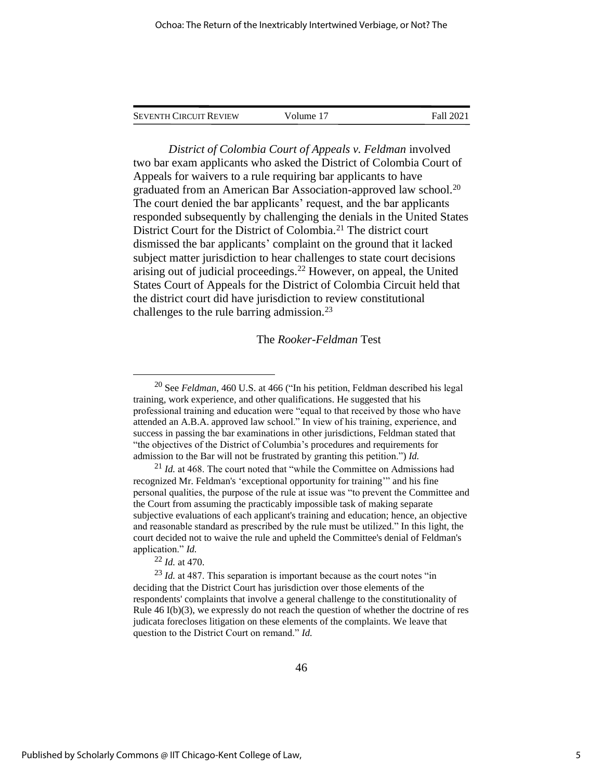| <b>SEVENTH CIRCUIT REVIEW</b> | Volume 17 | Fall 2021 |
|-------------------------------|-----------|-----------|
|                               |           |           |

*District of Colombia Court of Appeals v. Feldman* involved two bar exam applicants who asked the District of Colombia Court of Appeals for waivers to a rule requiring bar applicants to have graduated from an American Bar Association-approved law school.<sup>20</sup> The court denied the bar applicants' request, and the bar applicants responded subsequently by challenging the denials in the United States District Court for the District of Colombia.<sup>21</sup> The district court dismissed the bar applicants' complaint on the ground that it lacked subject matter jurisdiction to hear challenges to state court decisions arising out of judicial proceedings.<sup>22</sup> However, on appeal, the United States Court of Appeals for the District of Colombia Circuit held that the district court did have jurisdiction to review constitutional challenges to the rule barring admission.<sup>23</sup>

#### The *Rooker-Feldman* Test

<sup>21</sup> *Id.* at 468. The court noted that "while the Committee on Admissions had recognized Mr. Feldman's 'exceptional opportunity for training'" and his fine personal qualities, the purpose of the rule at issue was "to prevent the Committee and the Court from assuming the practicably impossible task of making separate subjective evaluations of each applicant's training and education; hence, an objective and reasonable standard as prescribed by the rule must be utilized." In this light, the court decided not to waive the rule and upheld the Committee's denial of Feldman's application." *Id.*

<sup>22</sup> *Id.* at 470.

<sup>23</sup> *Id.* at 487. This separation is important because as the court notes "in deciding that the District Court has jurisdiction over those elements of the respondents' complaints that involve a general challenge to the constitutionality of Rule 46 I(b)(3), we expressly do not reach the question of whether the doctrine of res judicata forecloses litigation on these elements of the complaints. We leave that question to the District Court on remand." *Id.*

<sup>20</sup> See *Feldman*, 460 U.S. at 466 ("In his petition, Feldman described his legal training, work experience, and other qualifications. He suggested that his professional training and education were "equal to that received by those who have attended an A.B.A. approved law school." In view of his training, experience, and success in passing the bar examinations in other jurisdictions, Feldman stated that "the objectives of the District of Columbia's procedures and requirements for admission to the Bar will not be frustrated by granting this petition.") *Id.*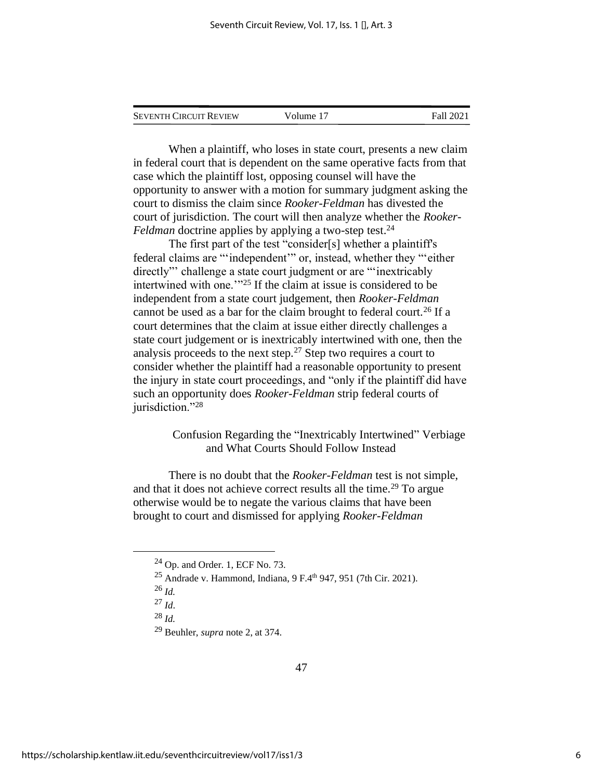| <b>SEVENTH CIRCUIT REVIEW</b> | Volume 17 | Fall 2021 |
|-------------------------------|-----------|-----------|
|                               |           |           |

When a plaintiff, who loses in state court, presents a new claim in federal court that is dependent on the same operative facts from that case which the plaintiff lost, opposing counsel will have the opportunity to answer with a motion for summary judgment asking the court to dismiss the claim since *Rooker-Feldman* has divested the court of jurisdiction. The court will then analyze whether the *Rooker-Feldman* doctrine applies by applying a two-step test.<sup>24</sup>

The first part of the test "consider[s] whether a plaintiff's federal claims are "'independent'" or, instead, whether they "'either directly"' challenge a state court judgment or are "'inextricably intertwined with one.'"<sup>25</sup> If the claim at issue is considered to be independent from a state court judgement, then *Rooker-Feldman* cannot be used as a bar for the claim brought to federal court.<sup>26</sup> If a court determines that the claim at issue either directly challenges a state court judgement or is inextricably intertwined with one, then the analysis proceeds to the next step.<sup>27</sup> Step two requires a court to consider whether the plaintiff had a reasonable opportunity to present the injury in state court proceedings, and "only if the plaintiff did have such an opportunity does *Rooker-Feldman* strip federal courts of jurisdiction."28

> Confusion Regarding the "Inextricably Intertwined" Verbiage and What Courts Should Follow Instead

There is no doubt that the *Rooker-Feldman* test is not simple, and that it does not achieve correct results all the time.<sup>29</sup> To argue otherwise would be to negate the various claims that have been brought to court and dismissed for applying *Rooker-Feldman*

- <sup>27</sup> *Id*.
- <sup>28</sup> *Id.*

 $24$  Op. and Order. 1, ECF No. 73.

<sup>&</sup>lt;sup>25</sup> Andrade v. Hammond, Indiana,  $9F.4^{th}$  947, 951 (7th Cir. 2021).

<sup>26</sup> *Id.*

<sup>29</sup> Beuhler, *supra* note 2, at 374.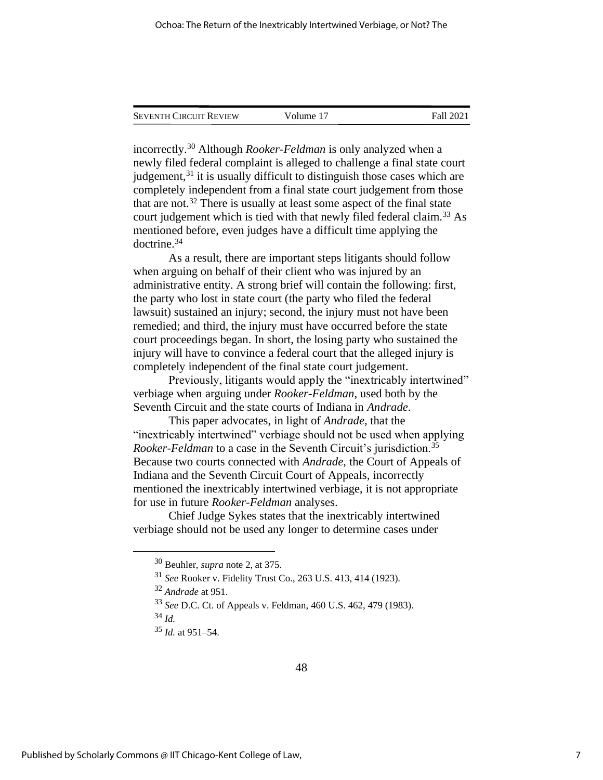| <b>SEVENTH CIRCUIT REVIEW</b> | Volume 17 | <b>Fall 2021</b> |
|-------------------------------|-----------|------------------|
|                               |           |                  |

incorrectly.<sup>30</sup> Although *Rooker-Feldman* is only analyzed when a newly filed federal complaint is alleged to challenge a final state court judgement, $31$  it is usually difficult to distinguish those cases which are completely independent from a final state court judgement from those that are not.<sup>32</sup> There is usually at least some aspect of the final state court judgement which is tied with that newly filed federal claim.<sup>33</sup> As mentioned before, even judges have a difficult time applying the doctrine.<sup>34</sup>

As a result, there are important steps litigants should follow when arguing on behalf of their client who was injured by an administrative entity. A strong brief will contain the following: first, the party who lost in state court (the party who filed the federal lawsuit) sustained an injury; second, the injury must not have been remedied; and third, the injury must have occurred before the state court proceedings began. In short, the losing party who sustained the injury will have to convince a federal court that the alleged injury is completely independent of the final state court judgement.

Previously, litigants would apply the "inextricably intertwined" verbiage when arguing under *Rooker-Feldman*, used both by the Seventh Circuit and the state courts of Indiana in *Andrade*.

This paper advocates, in light of *Andrade*, that the "inextricably intertwined" verbiage should not be used when applying *Rooker-Feldman* to a case in the Seventh Circuit's jurisdiction.<sup>35</sup> Because two courts connected with *Andrade*, the Court of Appeals of Indiana and the Seventh Circuit Court of Appeals, incorrectly mentioned the inextricably intertwined verbiage, it is not appropriate for use in future *Rooker-Feldman* analyses.

Chief Judge Sykes states that the inextricably intertwined verbiage should not be used any longer to determine cases under

<sup>34</sup> *Id.*

<sup>30</sup> Beuhler, *supra* note 2, at 375.

<sup>31</sup> *See* Rooker v. Fidelity Trust Co., 263 U.S. 413, 414 (1923).

<sup>32</sup> *Andrade* at 951.

<sup>33</sup> *See* D.C. Ct. of Appeals v. Feldman, 460 U.S. 462, 479 (1983).

<sup>35</sup> *Id.* at 951–54.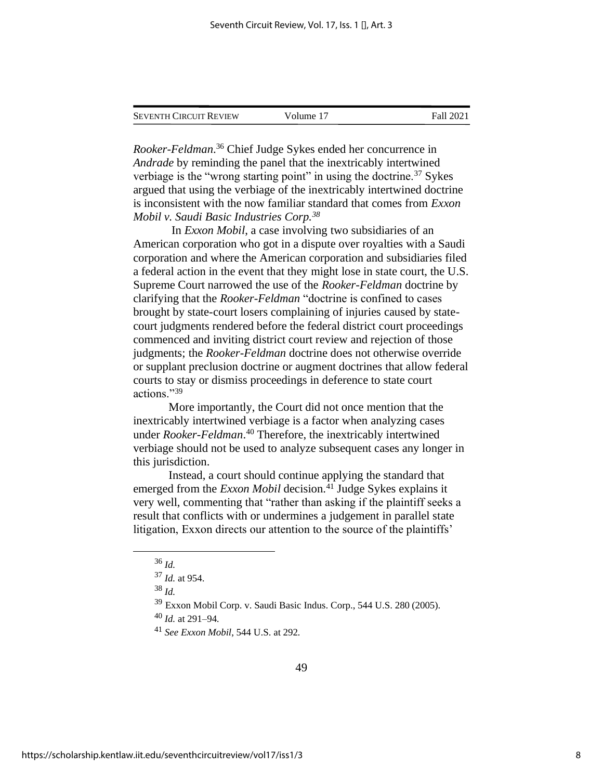| Seventh Circuit Review | Volume 17 | Fall 2021 |
|------------------------|-----------|-----------|
|                        |           |           |

*Rooker-Feldman*. <sup>36</sup> Chief Judge Sykes ended her concurrence in *Andrade* by reminding the panel that the inextricably intertwined verbiage is the "wrong starting point" in using the doctrine.<sup>37</sup> Sykes argued that using the verbiage of the inextricably intertwined doctrine is inconsistent with the now familiar standard that comes from *Exxon Mobil v. Saudi Basic Industries Corp.<sup>38</sup>*

In *Exxon Mobil*, a case involving two subsidiaries of an American corporation who got in a dispute over royalties with a Saudi corporation and where the American corporation and subsidiaries filed a federal action in the event that they might lose in state court, the U.S. Supreme Court narrowed the use of the *Rooker-Feldman* doctrine by clarifying that the *Rooker-Feldman* "doctrine is confined to cases brought by state-court losers complaining of injuries caused by statecourt judgments rendered before the federal district court proceedings commenced and inviting district court review and rejection of those judgments; the *Rooker-Feldman* doctrine does not otherwise override or supplant preclusion doctrine or augment doctrines that allow federal courts to stay or dismiss proceedings in deference to state court actions."<sup>39</sup>

More importantly, the Court did not once mention that the inextricably intertwined verbiage is a factor when analyzing cases under *Rooker-Feldman*. <sup>40</sup> Therefore, the inextricably intertwined verbiage should not be used to analyze subsequent cases any longer in this jurisdiction.

Instead, a court should continue applying the standard that emerged from the *Exxon Mobil* decision.<sup>41</sup> Judge Sykes explains it very well, commenting that "rather than asking if the plaintiff seeks a result that conflicts with or undermines a judgement in parallel state litigation, Exxon directs our attention to the source of the plaintiffs'

<sup>36</sup> *Id.*

<sup>37</sup> *Id.* at 954.

<sup>38</sup> *Id.*

<sup>39</sup> Exxon Mobil Corp. v. Saudi Basic Indus. Corp., 544 U.S. 280 (2005).

<sup>40</sup> *Id.* at 291–94*.*

<sup>41</sup> *See Exxon Mobil*, 544 U.S. at 292*.*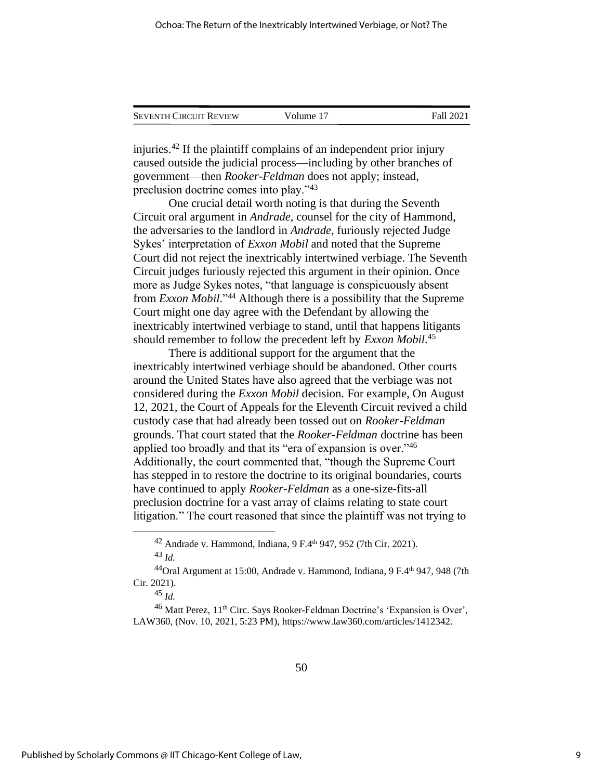| <b>SEVENTH CIRCUIT REVIEW</b> | Volume 17 | Fall 2021 |
|-------------------------------|-----------|-----------|
|                               |           |           |

injuries.<sup>42</sup> If the plaintiff complains of an independent prior injury caused outside the judicial process—including by other branches of government—then *Rooker-Feldman* does not apply; instead, preclusion doctrine comes into play."<sup>43</sup>

One crucial detail worth noting is that during the Seventh Circuit oral argument in *Andrade*, counsel for the city of Hammond, the adversaries to the landlord in *Andrade*, furiously rejected Judge Sykes' interpretation of *Exxon Mobil* and noted that the Supreme Court did not reject the inextricably intertwined verbiage. The Seventh Circuit judges furiously rejected this argument in their opinion. Once more as Judge Sykes notes, "that language is conspicuously absent from *Exxon Mobil*."<sup>44</sup> Although there is a possibility that the Supreme Court might one day agree with the Defendant by allowing the inextricably intertwined verbiage to stand, until that happens litigants should remember to follow the precedent left by *Exxon Mobil*. 45

There is additional support for the argument that the inextricably intertwined verbiage should be abandoned. Other courts around the United States have also agreed that the verbiage was not considered during the *Exxon Mobil* decision. For example, On August 12, 2021, the Court of Appeals for the Eleventh Circuit revived a child custody case that had already been tossed out on *Rooker-Feldman* grounds. That court stated that the *Rooker-Feldman* doctrine has been applied too broadly and that its "era of expansion is over."<sup>46</sup> Additionally, the court commented that, "though the Supreme Court has stepped in to restore the doctrine to its original boundaries, courts have continued to apply *Rooker-Feldman* as a one-size-fits-all preclusion doctrine for a vast array of claims relating to state court litigation." The court reasoned that since the plaintiff was not trying to

<sup>&</sup>lt;sup>42</sup> Andrade v. Hammond, Indiana,  $9 F.4<sup>th</sup> 947, 952$  (7th Cir. 2021). <sup>43</sup> *Id.*

<sup>&</sup>lt;sup>44</sup>Oral Argument at 15:00, Andrade v. Hammond, Indiana, 9 F.4<sup>th</sup> 947, 948 (7th Cir. 2021).

<sup>45</sup> *Id.*

 $^{46}$  Matt Perez,  $11<sup>th</sup>$  Circ. Says Rooker-Feldman Doctrine's 'Expansion is Over', LAW360, (Nov. 10, 2021, 5:23 PM), https://www.law360.com/articles/1412342.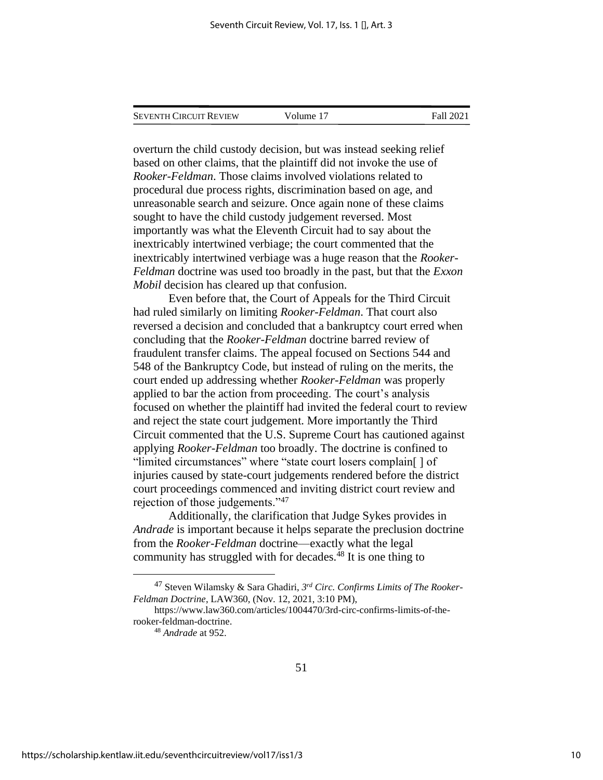| <b>SEVENTH CIRCUIT REVIEW</b> |  |
|-------------------------------|--|
|                               |  |

Volume 17 Fall 2021

overturn the child custody decision, but was instead seeking relief based on other claims, that the plaintiff did not invoke the use of *Rooker-Feldman*. Those claims involved violations related to procedural due process rights, discrimination based on age, and unreasonable search and seizure. Once again none of these claims sought to have the child custody judgement reversed. Most importantly was what the Eleventh Circuit had to say about the inextricably intertwined verbiage; the court commented that the inextricably intertwined verbiage was a huge reason that the *Rooker-Feldman* doctrine was used too broadly in the past, but that the *Exxon Mobil* decision has cleared up that confusion.

Even before that, the Court of Appeals for the Third Circuit had ruled similarly on limiting *Rooker-Feldman*. That court also reversed a decision and concluded that a bankruptcy court erred when concluding that the *Rooker-Feldman* doctrine barred review of fraudulent transfer claims. The appeal focused on Sections 544 and 548 of the Bankruptcy Code, but instead of ruling on the merits, the court ended up addressing whether *Rooker-Feldman* was properly applied to bar the action from proceeding. The court's analysis focused on whether the plaintiff had invited the federal court to review and reject the state court judgement. More importantly the Third Circuit commented that the U.S. Supreme Court has cautioned against applying *Rooker-Feldman* too broadly. The doctrine is confined to "limited circumstances" where "state court losers complain[ ] of injuries caused by state-court judgements rendered before the district court proceedings commenced and inviting district court review and rejection of those judgements."<sup>47</sup>

Additionally, the clarification that Judge Sykes provides in *Andrade* is important because it helps separate the preclusion doctrine from the *Rooker-Feldman* doctrine—exactly what the legal community has struggled with for decades. $48$  It is one thing to

<sup>47</sup> Steven Wilamsky & Sara Ghadiri, *3 rd Circ. Confirms Limits of The Rooker-Feldman Doctrine*, LAW360, (Nov. 12, 2021, 3:10 PM),

https://www.law360.com/articles/1004470/3rd-circ-confirms-limits-of-therooker-feldman-doctrine.

<sup>48</sup> *Andrade* at 952.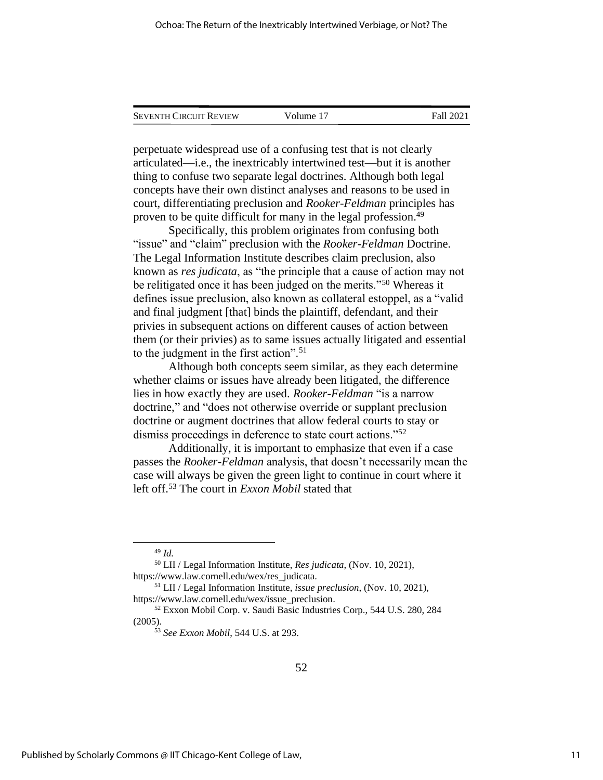| <b>SEVENTH CIRCUIT REVIEW</b> | Volume 17 | Fall 2021 |
|-------------------------------|-----------|-----------|
|                               |           |           |

perpetuate widespread use of a confusing test that is not clearly articulated—i.e., the inextricably intertwined test—but it is another thing to confuse two separate legal doctrines. Although both legal concepts have their own distinct analyses and reasons to be used in court, differentiating preclusion and *Rooker-Feldman* principles has proven to be quite difficult for many in the legal profession.<sup>49</sup>

Specifically, this problem originates from confusing both "issue" and "claim" preclusion with the *Rooker-Feldman* Doctrine. The Legal Information Institute describes claim preclusion, also known as *res judicata*, as "the principle that a cause of action may not be relitigated once it has been judged on the merits."<sup>50</sup> Whereas it defines issue preclusion, also known as collateral estoppel, as a "valid and final judgment [that] binds the plaintiff, defendant, and their privies in subsequent actions on different causes of action between them (or their privies) as to same issues actually litigated and essential to the judgment in the first action".<sup>51</sup>

Although both concepts seem similar, as they each determine whether claims or issues have already been litigated, the difference lies in how exactly they are used. *Rooker-Feldman* "is a narrow doctrine," and "does not otherwise override or supplant preclusion doctrine or augment doctrines that allow federal courts to stay or dismiss proceedings in deference to state court actions."<sup>52</sup>

Additionally, it is important to emphasize that even if a case passes the *Rooker-Feldman* analysis, that doesn't necessarily mean the case will always be given the green light to continue in court where it left off.<sup>53</sup> The court in *Exxon Mobil* stated that

<sup>49</sup> *Id.*

<sup>50</sup> LII / Legal Information Institute, *Res judicata*, (Nov. 10, 2021), https://www.law.cornell.edu/wex/res\_judicata.

<sup>51</sup> LII / Legal Information Institute, *issue preclusion*, (Nov. 10, 2021), https://www.law.cornell.edu/wex/issue\_preclusion.

<sup>52</sup> Exxon Mobil Corp. v. Saudi Basic Industries Corp., 544 U.S. 280, 284 (2005).

<sup>53</sup> *See Exxon Mobil*, 544 U.S. at 293.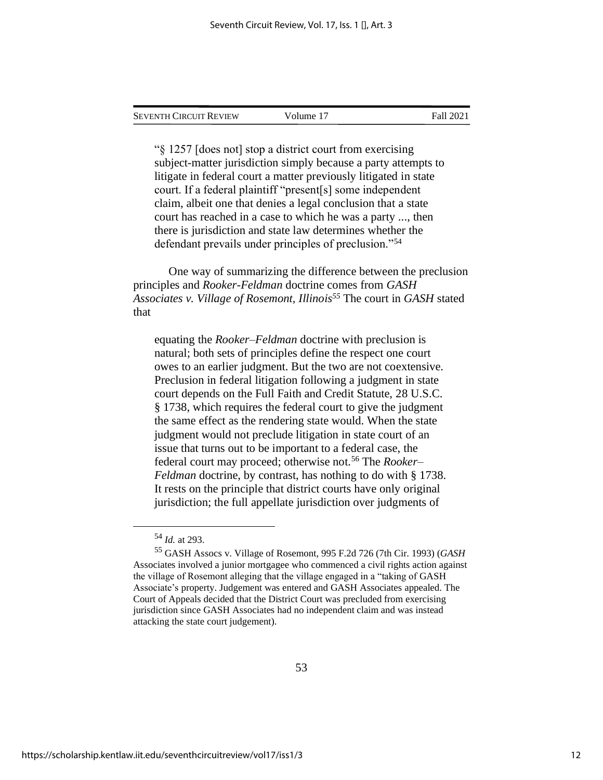Volume 17 Fall 2021

"§ 1257 [does not] stop a district court from exercising subject-matter jurisdiction simply because a party attempts to litigate in federal court a matter previously litigated in state court. If a federal plaintiff "present[s] some independent claim, albeit one that denies a legal conclusion that a state court has reached in a case to which he was a party ..., then there is jurisdiction and state law determines whether the defendant prevails under principles of preclusion."<sup>54</sup>

One way of summarizing the difference between the preclusion principles and *Rooker-Feldman* doctrine comes from *GASH Associates v. Village of Rosemont, Illinois<sup>55</sup>* The court in *GASH* stated that

equating the *Rooker–Feldman* doctrine with preclusion is natural; both sets of principles define the respect one court owes to an earlier judgment. But the two are not coextensive. Preclusion in federal litigation following a judgment in state court depends on the Full Faith and Credit Statute, 28 U.S.C. § 1738, which requires the federal court to give the judgment the same effect as the rendering state would. When the state judgment would not preclude litigation in state court of an issue that turns out to be important to a federal case, the federal court may proceed; otherwise not.<sup>56</sup> The *Rooker– Feldman* doctrine, by contrast, has nothing to do with § 1738. It rests on the principle that district courts have only original jurisdiction; the full appellate jurisdiction over judgments of

<sup>54</sup> *Id.* at 293.

<sup>55</sup> GASH Assocs v. Village of Rosemont, 995 F.2d 726 (7th Cir. 1993) (*GASH* Associates involved a junior mortgagee who commenced a civil rights action against the village of Rosemont alleging that the village engaged in a "taking of GASH Associate's property. Judgement was entered and GASH Associates appealed. The Court of Appeals decided that the District Court was precluded from exercising jurisdiction since GASH Associates had no independent claim and was instead attacking the state court judgement).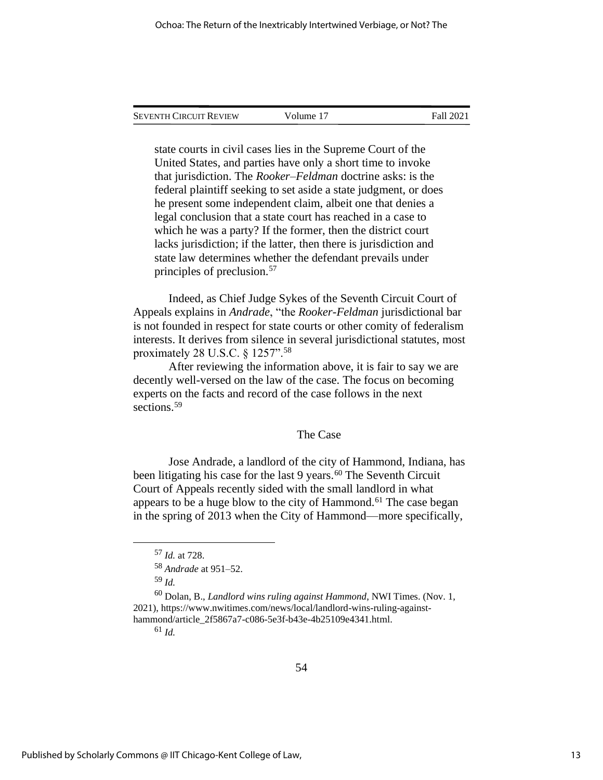| Seventh Circuit Review | Volume 17 | Fall 2021 |
|------------------------|-----------|-----------|
|                        |           |           |

state courts in civil cases lies in the Supreme Court of the United States, and parties have only a short time to invoke that jurisdiction. The *Rooker–Feldman* doctrine asks: is the federal plaintiff seeking to set aside a state judgment, or does he present some independent claim, albeit one that denies a legal conclusion that a state court has reached in a case to which he was a party? If the former, then the district court lacks jurisdiction; if the latter, then there is jurisdiction and state law determines whether the defendant prevails under principles of preclusion.<sup>57</sup>

Indeed, as Chief Judge Sykes of the Seventh Circuit Court of Appeals explains in *Andrade*, "the *Rooker-Feldman* jurisdictional bar is not founded in respect for state courts or other comity of federalism interests. It derives from silence in several jurisdictional statutes, most proximately 28 U.S.C. § 1257".<sup>58</sup>

After reviewing the information above, it is fair to say we are decently well-versed on the law of the case. The focus on becoming experts on the facts and record of the case follows in the next sections. 59

#### The Case

Jose Andrade, a landlord of the city of Hammond, Indiana, has been litigating his case for the last 9 years. $60$  The Seventh Circuit Court of Appeals recently sided with the small landlord in what appears to be a huge blow to the city of Hammond.<sup>61</sup> The case began in the spring of 2013 when the City of Hammond—more specifically,

<sup>61</sup> *Id.*

<sup>57</sup> *Id.* at 728.

<sup>58</sup> *Andrade* at 951–52.

<sup>59</sup> *Id.*

<sup>60</sup> Dolan, B., *Landlord wins ruling against Hammond*, NWI Times. (Nov. 1, 2021), https://www.nwitimes.com/news/local/landlord-wins-ruling-againsthammond/article\_2f5867a7-c086-5e3f-b43e-4b25109e4341.html.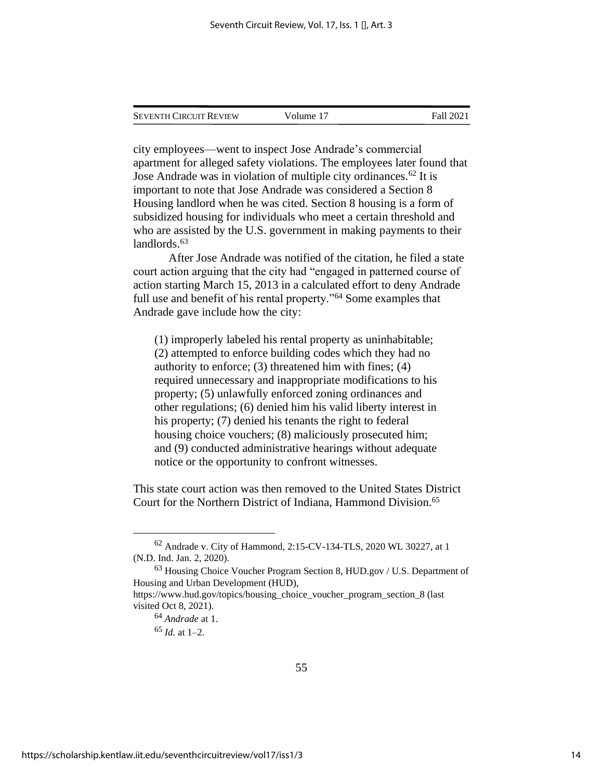| <b>SEVENTH CIRCUIT REVIEW</b> | Volume 17 | <b>Fall 2021</b> |
|-------------------------------|-----------|------------------|
|                               |           |                  |

city employees—went to inspect Jose Andrade's commercial apartment for alleged safety violations. The employees later found that Jose Andrade was in violation of multiple city ordinances.<sup>62</sup> It is important to note that Jose Andrade was considered a Section 8 Housing landlord when he was cited. Section 8 housing is a form of subsidized housing for individuals who meet a certain threshold and who are assisted by the U.S. government in making payments to their landlords.<sup>63</sup>

After Jose Andrade was notified of the citation, he filed a state court action arguing that the city had "engaged in patterned course of action starting March 15, 2013 in a calculated effort to deny Andrade full use and benefit of his rental property."<sup>64</sup> Some examples that Andrade gave include how the city:

(1) improperly labeled his rental property as uninhabitable; (2) attempted to enforce building codes which they had no authority to enforce; (3) threatened him with fines; (4) required unnecessary and inappropriate modifications to his property; (5) unlawfully enforced zoning ordinances and other regulations; (6) denied him his valid liberty interest in his property; (7) denied his tenants the right to federal housing choice vouchers; (8) maliciously prosecuted him; and (9) conducted administrative hearings without adequate notice or the opportunity to confront witnesses.

This state court action was then removed to the United States District Court for the Northern District of Indiana, Hammond Division.<sup>65</sup>

<sup>62</sup> Andrade v. City of Hammond, 2:15-CV-134-TLS, 2020 WL 30227, at 1 (N.D. Ind. Jan. 2, 2020).

<sup>63</sup> Housing Choice Voucher Program Section 8, HUD.gov / U.S. Department of Housing and Urban Development (HUD), https://www.hud.gov/topics/housing\_choice\_voucher\_program\_section\_8 (last

visited Oct 8, 2021).

<sup>64</sup> *Andrade* at 1.

 $65$  *Id.* at 1–2.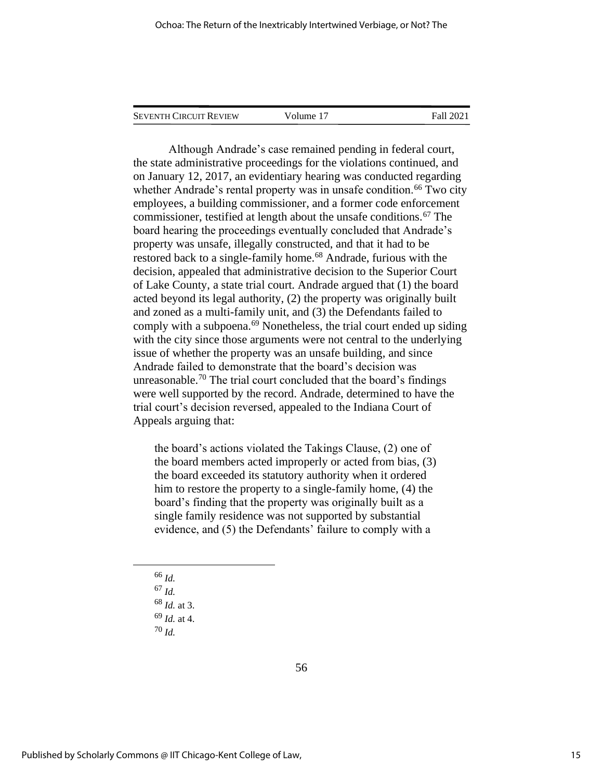SEVENTH CIRCUIT REVIEW Volume 17 Fall 2021

Although Andrade's case remained pending in federal court, the state administrative proceedings for the violations continued, and on January 12, 2017, an evidentiary hearing was conducted regarding whether Andrade's rental property was in unsafe condition.<sup>66</sup> Two city employees, a building commissioner, and a former code enforcement commissioner, testified at length about the unsafe conditions.<sup>67</sup> The board hearing the proceedings eventually concluded that Andrade's property was unsafe, illegally constructed, and that it had to be restored back to a single-family home.<sup>68</sup> Andrade, furious with the decision, appealed that administrative decision to the Superior Court of Lake County, a state trial court. Andrade argued that (1) the board acted beyond its legal authority, (2) the property was originally built and zoned as a multi-family unit, and (3) the Defendants failed to comply with a subpoena.<sup>69</sup> Nonetheless, the trial court ended up siding with the city since those arguments were not central to the underlying issue of whether the property was an unsafe building, and since Andrade failed to demonstrate that the board's decision was unreasonable.<sup>70</sup> The trial court concluded that the board's findings were well supported by the record. Andrade, determined to have the trial court's decision reversed, appealed to the Indiana Court of Appeals arguing that:

the board's actions violated the Takings Clause, (2) one of the board members acted improperly or acted from bias, (3) the board exceeded its statutory authority when it ordered him to restore the property to a single-family home, (4) the board's finding that the property was originally built as a single family residence was not supported by substantial evidence, and (5) the Defendants' failure to comply with a

- <sup>66</sup> *Id.*
- <sup>67</sup> *Id.*
- <sup>68</sup> *Id.* at 3.
- <sup>69</sup> *Id.* at 4.
- <sup>70</sup> *Id.*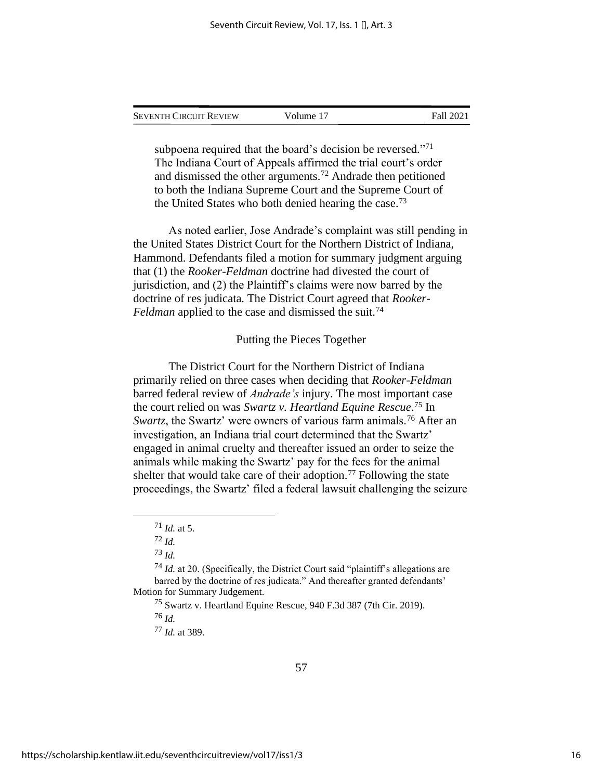| Seventh Circuit Review | Volume 17 | Fall 2021 |
|------------------------|-----------|-----------|
|                        |           |           |

subpoena required that the board's decision be reversed."<sup>71</sup> The Indiana Court of Appeals affirmed the trial court's order and dismissed the other arguments.<sup>72</sup> Andrade then petitioned to both the Indiana Supreme Court and the Supreme Court of the United States who both denied hearing the case.<sup>73</sup>

As noted earlier, Jose Andrade's complaint was still pending in the United States District Court for the Northern District of Indiana, Hammond. Defendants filed a motion for summary judgment arguing that (1) the *Rooker-Feldman* doctrine had divested the court of jurisdiction, and (2) the Plaintiff's claims were now barred by the doctrine of res judicata. The District Court agreed that *Rooker-Feldman* applied to the case and dismissed the suit.<sup>74</sup>

#### Putting the Pieces Together

The District Court for the Northern District of Indiana primarily relied on three cases when deciding that *Rooker-Feldman* barred federal review of *Andrade's* injury. The most important case the court relied on was *Swartz v. Heartland Equine Rescue*. <sup>75</sup> In *Swartz*, the Swartz' were owners of various farm animals.<sup>76</sup> After an investigation, an Indiana trial court determined that the Swartz' engaged in animal cruelty and thereafter issued an order to seize the animals while making the Swartz' pay for the fees for the animal shelter that would take care of their adoption.<sup>77</sup> Following the state proceedings, the Swartz' filed a federal lawsuit challenging the seizure

<sup>75</sup> Swartz v. Heartland Equine Rescue, 940 F.3d 387 (7th Cir. 2019).

<sup>76</sup> *Id.*

<sup>77</sup> *Id.* at 389.

<sup>71</sup> *Id.* at 5.

<sup>72</sup> *Id.*

<sup>73</sup> *Id.*

<sup>74</sup> *Id.* at 20. (Specifically, the District Court said "plaintiff's allegations are barred by the doctrine of res judicata." And thereafter granted defendants' Motion for Summary Judgement.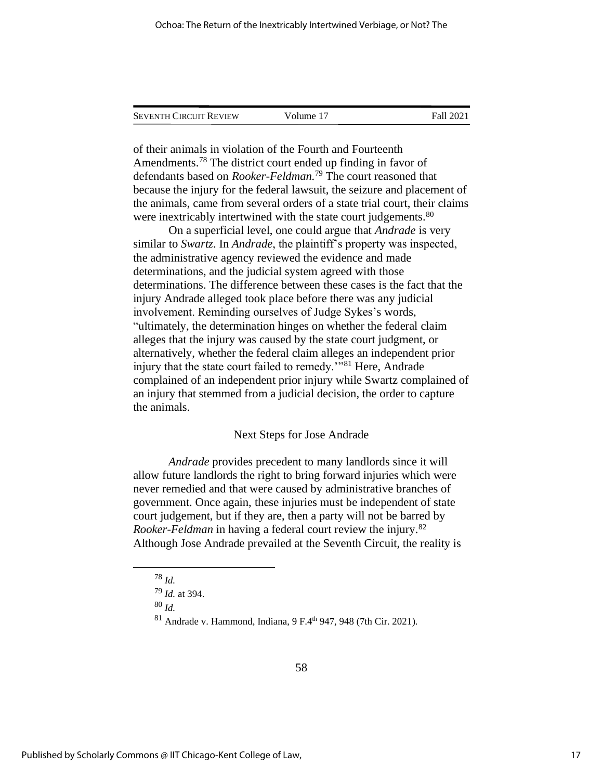| <b>SEVENTH CIRCUIT REVIEW</b> | Volume 17 | Fall 2021 |
|-------------------------------|-----------|-----------|
|                               |           |           |

of their animals in violation of the Fourth and Fourteenth Amendments.<sup>78</sup> The district court ended up finding in favor of defendants based on *Rooker-Feldman.*<sup>79</sup> The court reasoned that because the injury for the federal lawsuit, the seizure and placement of the animals, came from several orders of a state trial court, their claims were inextricably intertwined with the state court judgements.<sup>80</sup>

On a superficial level, one could argue that *Andrade* is very similar to *Swartz*. In *Andrade*, the plaintiff's property was inspected, the administrative agency reviewed the evidence and made determinations, and the judicial system agreed with those determinations. The difference between these cases is the fact that the injury Andrade alleged took place before there was any judicial involvement. Reminding ourselves of Judge Sykes's words, "ultimately, the determination hinges on whether the federal claim alleges that the injury was caused by the state court judgment, or alternatively, whether the federal claim alleges an independent prior injury that the state court failed to remedy.<sup>'"81</sup> Here, Andrade complained of an independent prior injury while Swartz complained of an injury that stemmed from a judicial decision, the order to capture the animals.

#### Next Steps for Jose Andrade

*Andrade* provides precedent to many landlords since it will allow future landlords the right to bring forward injuries which were never remedied and that were caused by administrative branches of government. Once again, these injuries must be independent of state court judgement, but if they are, then a party will not be barred by *Rooker-Feldman* in having a federal court review the injury.<sup>82</sup> Although Jose Andrade prevailed at the Seventh Circuit, the reality is

<sup>78</sup> *Id.*

<sup>79</sup> *Id.* at 394.

<sup>80</sup> *Id.*

<sup>81</sup> Andrade v. Hammond, Indiana, 9 F.4th 947, 948 (7th Cir. 2021).